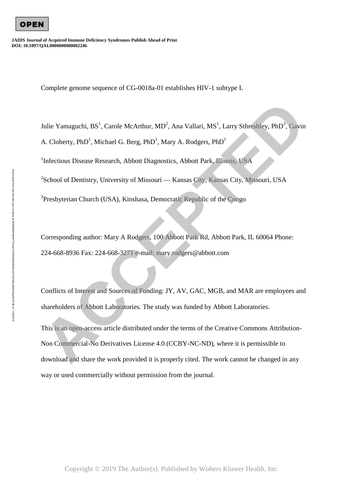

**JAIDS Journal of Acquired Immune Deficiency Syndromes Publish Ahead of Print DOI: 10.1097/QAI.0000000000002246**

Complete genome sequence of CG-0018a-01 establishes HIV-1 subtype L

Julie Yamaguchi, BS<sup>1</sup>, Carole McArthur, MD<sup>2</sup>, Ana Vallari, MS<sup>1</sup>, Larry Sthreshley, PhD<sup>3</sup>, Gavin A. Cloherty, PhD<sup>1</sup>, Michael G. Berg, PhD<sup>1</sup>, Mary A. Rodgers, PhD<sup>1</sup>

<sup>1</sup>Infectious Disease Research, Abbott Diagnostics, Abbott Park, Illinois, USA

<sup>2</sup>School of Dentistry, University of Missouri — Kansas City, Kansas City, Missouri, USA

<sup>3</sup>Presbyterian Church (USA), Kinshasa, Democratic Republic of the Congo

Corresponding author: Mary A Rodgers, 100 Abbott Park Rd, Abbott Park, IL 60064 Phone: 224-668-8936 Fax: 224-668-3271 e-mail: mary.rodgers@abbott.com

Conflicts of Interest and Sources of Funding: JY, AV, GAC, MGB, and MAR are employees and shareholders of Abbott Laboratories. The study was funded by Abbott Laboratories.

This is an open-access article distributed under the terms of the Creative Commons Attribution-Non Commercial-No Derivatives License 4.0 (CCBY-NC-ND), where it is permissible to download and share the work provided it is properly cited. The work cannot be changed in any Julie Yamaguchi, BS<sup>1</sup>, Carole McArthur, MD<sup>2</sup>, Ana Vallari, MS<sup>1</sup>, Larry Sthreshley, PhD<sup>3</sup>, Gavin<br>A. Cloherty, PhD<sup>1</sup>, Michael G. Berg, PhD<sup>1</sup>, Mary A. Rodgers, PhD<sup>1</sup><br><sup>3</sup>Infectious Disease Research. Abbott Diagnostics, way or used commercially without permission from the journal.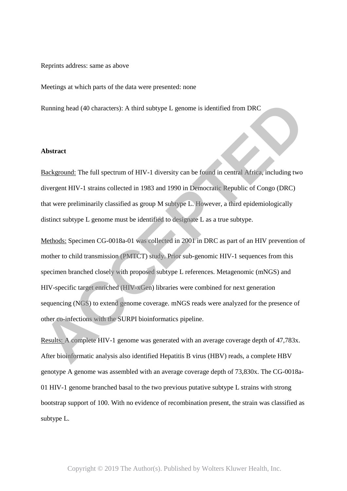#### Reprints address: same as above

Meetings at which parts of the data were presented: none

Running head (40 characters): A third subtype L genome is identified from DRC

### **Abstract**

Background: The full spectrum of HIV-1 diversity can be found in central Africa, including two divergent HIV-1 strains collected in 1983 and 1990 in Democratic Republic of Congo (DRC) that were preliminarily classified as group M subtype L. However, a third epidemiologically distinct subtype L genome must be identified to designate L as a true subtype.

Methods: Specimen CG-0018a-01 was collected in 2001 in DRC as part of an HIV prevention of mother to child transmission (PMTCT) study. Prior sub-genomic HIV-1 sequences from this specimen branched closely with proposed subtype L references. Metagenomic (mNGS) and HIV-specific target enriched (HIV-xGen) libraries were combined for next generation sequencing (NGS) to extend genome coverage. mNGS reads were analyzed for the presence of other co-infections with the SURPI bioinformatics pipeline. Romning head (40 characters): A third subtype L genome is identified from DRC<br> **Abstract**<br> **Abstract**<br> **Accelerization**<br> **Accelerization**<br> **Accelerization**<br> **Accelerization**<br> **Accelerization**<br> **Accelerization**<br> **Acceleriza** 

Results: A complete HIV-1 genome was generated with an average coverage depth of 47,783x. After bioinformatic analysis also identified Hepatitis B virus (HBV) reads, a complete HBV genotype A genome was assembled with an average coverage depth of 73,830x. The CG-0018a-01 HIV-1 genome branched basal to the two previous putative subtype L strains with strong bootstrap support of 100. With no evidence of recombination present, the strain was classified as subtype L.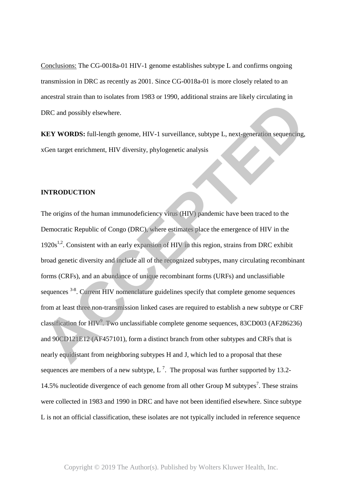Conclusions: The CG-0018a-01 HIV-1 genome establishes subtype L and confirms ongoing transmission in DRC as recently as 2001. Since CG-0018a-01 is more closely related to an ancestral strain than to isolates from 1983 or 1990, additional strains are likely circulating in DRC and possibly elsewhere.

**KEY WORDS:** full-length genome, HIV-1 surveillance, subtype L, next-generation sequencing, xGen target enrichment, HIV diversity, phylogenetic analysis

### **INTRODUCTION**

The origins of the human immunodeficiency virus (HIV) pandemic have been traced to the Democratic Republic of Congo (DRC), where estimates place the emergence of HIV in the 1920s<sup>1,2</sup>. Consistent with an early expansion of HIV in this region, strains from DRC exhibit broad genetic diversity and include all of the recognized subtypes, many circulating recombinant forms (CRFs), and an abundance of unique recombinant forms (URFs) and unclassifiable sequences <sup>3-8</sup>. Current HIV nomenclature guidelines specify that complete genome sequences from at least three non-transmission linked cases are required to establish a new subtype or CRF classification for  $HIV<sup>9</sup>$ . Two unclassifiable complete genome sequences, 83CD003 (AF286236) and 90CD121E12 (AF457101), form a distinct branch from other subtypes and CRFs that is nearly equidistant from neighboring subtypes H and J, which led to a proposal that these sequences are members of a new subtype, L<sup>7</sup>. The proposal was further supported by 13.2-14.5% nucleotide divergence of each genome from all other Group M subtypes<sup>7</sup>. These strains were collected in 1983 and 1990 in DRC and have not been identified elsewhere. Since subtype L is not an official classification, these isolates are not typically included in reference sequence **ACCEPTED**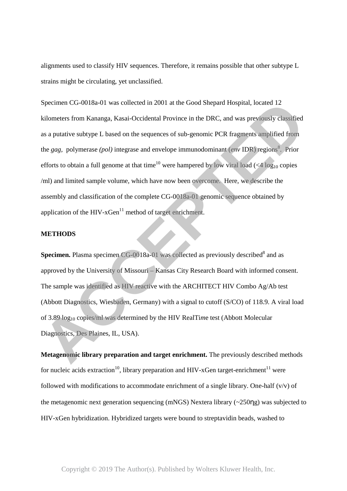alignments used to classify HIV sequences. Therefore, it remains possible that other subtype L strains might be circulating, yet unclassified.

Specimen CG-0018a-01 was collected in 2001 at the Good Shepard Hospital, located 12 kilometers from Kananga, Kasai-Occidental Province in the DRC, and was previously classified as a putative subtype L based on the sequences of sub-genomic PCR fragments amplified from the *gag*, polymerase (*pol*) integrase and envelope immunodominant (*env* IDR) regions<sup>8</sup>. Prior efforts to obtain a full genome at that time<sup>10</sup> were hampered by low viral load (<4  $\log_{10}$  copies /ml) and limited sample volume, which have now been overcome. Here, we describe the assembly and classification of the complete CG-0018a-01 genomic sequence obtained by application of the HIV- $xGen<sup>11</sup>$  method of target enrichment. Specimen CG-0018a-01 was collected in 2001 at the Good Shepard Hospital, located 12<br>
kilometers from Kananga, Kasai-Occidental Province in the DRC, and was previously classified<br>
as a putative subtype 1. based on the seque

# **METHODS**

**Specimen.** Plasma specimen CG-0018a-01 was collected as previously described<sup>8</sup> and as approved by the University of Missouri – Kansas City Research Board with informed consent. The sample was identified as HIV reactive with the ARCHITECT HIV Combo Ag/Ab test (Abbott Diagnostics, Wiesbaden, Germany) with a signal to cutoff (S/CO) of 118.9. A viral load of 3.89 log10 copies/ml was determined by the HIV RealTi*m*e test (Abbott Molecular Diagnostics, Des Plaines, IL, USA).

**Metagenomic library preparation and target enrichment.** The previously described methods for nucleic acids extraction<sup>10</sup>, library preparation and HIV-xGen target-enrichment<sup>11</sup> were followed with modifications to accommodate enrichment of a single library. One-half  $(v/v)$  of the metagenomic next generation sequencing (mNGS) Nextera library (~250ηg) was subjected to HIV-xGen hybridization. Hybridized targets were bound to streptavidin beads, washed to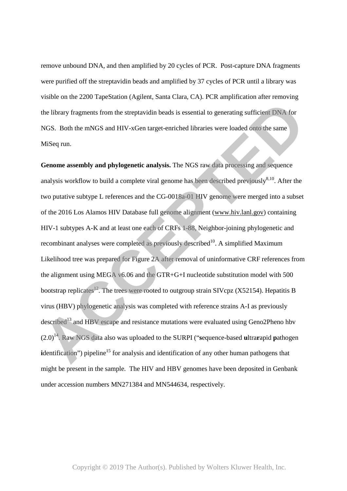remove unbound DNA, and then amplified by 20 cycles of PCR. Post-capture DNA fragments were purified off the streptavidin beads and amplified by 37 cycles of PCR until a library was visible on the 2200 TapeStation (Agilent, Santa Clara, CA). PCR amplification after removing the library fragments from the streptavidin beads is essential to generating sufficient DNA for NGS. Both the mNGS and HIV-xGen target-enriched libraries were loaded onto the same MiSeq run.

**Genome assembly and phylogenetic analysis.** The NGS raw data processing and sequence analysis workflow to build a complete viral genome has been described previously $8,10$ . After the two putative subtype L references and the CG-0018a-01 HIV genome were merged into a subset of the 2016 Los Alamos HIV Database full genome alignment (www.hiv.lanl.gov) containing HIV-1 subtypes A-K and at least one each of CRFs 1-88, Neighbor-joining phylogenetic and recombinant analyses were completed as previously described<sup>10</sup>. A simplified Maximum Likelihood tree was prepared for Figure 2A after removal of uninformative CRF references from the alignment using MEGA v6.06 and the GTR+G+I nucleotide substitution model with 500 bootstrap replicates<sup>12</sup>. The trees were rooted to outgroup strain SIVcpz (X52154). Hepatitis B virus (HBV) phylogenetic analysis was completed with reference strains A-I as previously described<sup>13</sup> and HBV escape and resistance mutations were evaluated using Geno2Pheno hbv (2.0)<sup>14</sup>. Raw NGS data also was uploaded to the SURPI ("**s**equence-based **u**ltra**r**apid **p**athogen **i**dentification") pipeline<sup>15</sup> for analysis and identification of any other human pathogens that might be present in the sample. The HIV and HBV genomes have been deposited in Genbank under accession numbers MN271384 and MN544634, resp ectively. The library fragments from the steptavidin beads is essential to generating sufficient DNA for<br>NGS. Both the mNGS and HIV-xGen target-enriched libraries were loaded onto the same<br>Miseq run.<br>**ACCEPTED**<br>**ACCEPTED** and phylog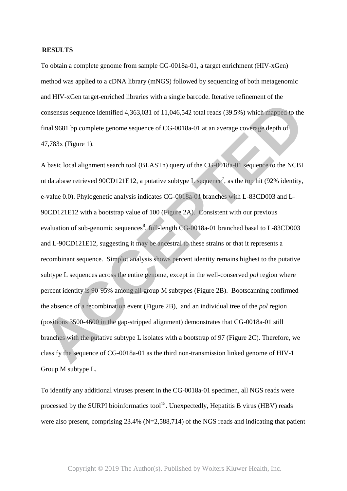## **RESULTS**

To obtain a complete genome from sample CG-0018a-01, a target enrichment (HIV-xGen) method was applied to a cDNA library (mNGS) followed by sequencing of both metagenomic and HIV-xGen target-enriched libraries with a single barcode. Iterative refinement of the consensus sequence identified 4,363,031 of 11,046,542 total reads (39.5%) which mapped to the final 9681 bp complete genome sequence of CG-0018a-01 at an average coverage depth of 47,783x (Figure 1).

A basic local alignment search tool (BLASTn) query of the CG-0018a-01 sequence to the NCBI nt database retrieved 90CD121E12, a putative subtype L sequence<sup>7</sup>, as the top hit (92% identity, e-value 0.0). Phylogenetic analysis indicates CG-0018a-01 branches with L-83CD003 and L-90CD121E12 with a bootstrap value of 100 (Figure 2A). Consistent with our previous evaluation of sub-genomic sequences<sup>8</sup>, full-length CG-0018a-01 branched basal to L-83CD003 and L-90CD121E12, suggesting it may be ancestral to these strains or that it represents a recombinant sequence. Simplot analysis shows percent identity remains highest to the putative subtype L sequences across the entire genome, except in the well-conserved *pol* region where percent identity is 90-95% among all group M subtypes (Figure 2B). Bootscanning confirmed the absence of a recombination event (Figure 2B), and an individual tree of the *pol* region (positions 3500-4600 in the gap-stripped alignment) demonstrates that CG-0018a-01 still branches with the putative subtype L isolates with a bootstrap of 97 (Figure 2C). Therefore, we classify the sequence of CG-0018a-01 as the third non-transmission linked genome of HIV-1 Group M subtype L. consensus sequence identified 4,363,031 of 11,046,542 total reads (39.5%) which mapped to the<br>final 9681 bp complete genome sequence of CG-0018a-01 at an average coverage depth of<br>47,783x (Figure 1).<br>A basic local alignme

To identify any additional viruses present in the CG-0018a-01 specimen, all NGS reads were processed by the SURPI bioinformatics tool<sup>15</sup>. Unexpectedly, Hepatitis B virus (HBV) reads were also present, comprising 23.4% (N=2,588,714) of the NGS reads and indicating that patient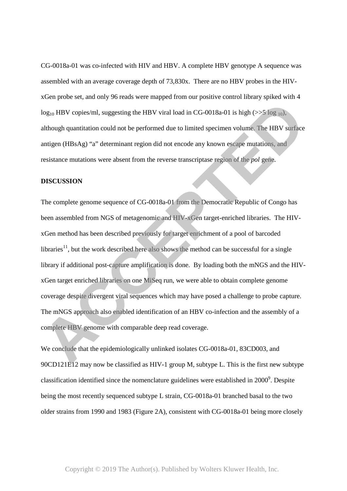CG-0018a-01 was co-infected with HIV and HBV. A complete HBV genotype A sequence was assembled with an average coverage depth of 73,830x. There are no HBV probes in the HIVxGen probe set, and only 96 reads were mapped from our positive control library spiked with 4  $log_{10}$  HBV copies/ml, suggesting the HBV viral load in CG-0018a-01 is high ( $>>$ 5 log <sub>10</sub>), although quantitation could not be performed due to limited specimen volume. The HBV surface antigen (HBsAg) "a" determinant region did not encode any known escape mutations, and resistance mutations were absent from the reverse transcriptase region of the *pol* gene.

#### **DISCUSSION**

The complete genome sequence of CG-0018a-01 from the Democratic Republic of Congo has been assembled from NGS of metagenomic and HIV-xGen target-enriched libraries. The HIVxGen method has been described previously for target enrichment of a pool of barcoded libraries<sup>11</sup>, but the work described here also shows the method can be successful for a single library if additional post-capture amplification is done. By loading both the mNGS and the HIVxGen target enriched libraries on one MiSeq run, we were able to obtain complete genome coverage despite divergent viral sequences which may have posed a challenge to probe capture. The mNGS approach also enabled identification of an HBV co-infection and the assembly of a complete HBV genome with comparable deep read coverage.  $\log_{10}$  HBV copies/ml, suggesting the HBV viral load in CG-0018a-01 is high ( $>5$  fog  $_{10}$ ).<br>
although quantitation could not be performed due to limited specimen volume. The HBV sorfsce<br>
antigen (HBsAg) "a" determinan

We conclude that the epidemiologically unlinked isolates CG-0018a-01, 83CD003, and 90CD121E12 may now be classified as HIV-1 group M, subtype L. This is the first new subtype classification identified since the nomenclature guidelines were established in  $2000^9$ . Despite being the most recently sequenced subtype L strain, CG-0018a-01 branched basal to the two older strains from 1990 and 1983 (Figure 2A), consistent with CG-0018a-01 being more closely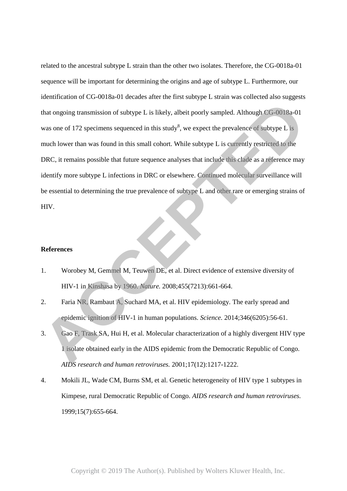related to the ancestral subtype L strain than the other two isolates. Therefore, the CG-0018a-01 sequence will be important for determining the origins and age of subtype L. Furthermore, our identification of CG-0018a-01 decades after the first subtype L strain was collected also suggests that ongoing transmission of subtype L is likely, albeit poorly sampled. Although CG-0018a-01 was one of 172 specimens sequenced in this study<sup>8</sup>, we expect the prevalence of subtype L is much lower than was found in this small cohort. While subtype L is currently restricted to the DRC, it remains possible that future sequence analyses that include this clade as a reference may identify more subtype L infections in DRC or elsewhere. Continued molecular surveillance will be essential to determining the true prevalence of subtype L and other rare or emerging strains of HIV. **That ongoing transmission of subtype 1. is likely, albeit poorly sampled. Although CG-0018a-01<br>
was one of 172 specimens sequenced in this study<sup>8</sup>, we expect the prevalence of subtype L is<br>
much lower than was found in t** 

# **References**

- 1. Worobey M, Gemmel M, Teuwen DE, et al. Direct evidence of extensive diversity of HIV-1 in Kinshasa by 1960. *Nature.* 2008;455(7213):661-664.
- 2. Faria NR, Rambaut A, Suchard MA, et al. HIV epidemiology. The early spread and epidemic ignition of HIV-1 in human populations. *Science.* 2014;346(6205):56-61.
- 3. Gao F, Trask SA, Hui H, et al. Molecular characterization of a highly divergent HIV type 1 isolate obtained early in the AIDS epidemic from the Democratic Republic of Congo. *AIDS research and human retroviruses.* 2001;17(12):1217-1222.
- 4. Mokili JL, Wade CM, Burns SM, et al. Genetic heterogeneity of HIV type 1 subtypes in Kimpese, rural Democratic Republic of Congo. *AIDS research and human retroviruses.*  1999;15(7):655-664.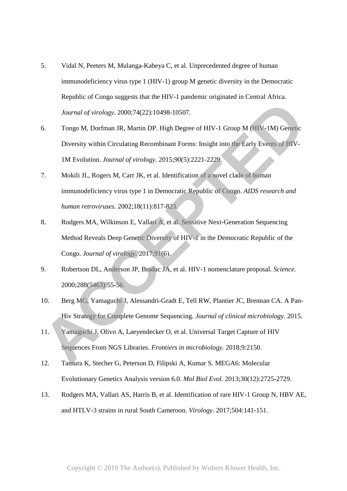- 5. Vidal N, Peeters M, Mulanga-Kabeya C, et al. Unprecedented degree of human immunodeficiency virus type 1 (HIV-1) group M genetic diversity in the Democratic Republic of Congo suggests that the HIV-1 pandemic originated in Central Africa. *Journal of virology.* 2000;74(22):10498-10507.
- 6. Tongo M, Dorfman JR, Martin DP. High Degree of HIV-1 Group M (HIV-1M) Genetic Diversity within Circulating Recombinant Forms: Insight into the Early Events of HIV-1M Evolution. *Journal of virology.* 2015;90(5):2221-2229. *Lound of virology, 2003;74*(22):10498-10507.<br> **ACCEPTED** *A. Dorfman IR. Martin DP. High Degree of HIV-1 Group M (HIV-1M) Genetic*<br>
Diversity within Circulating Recombinant Forms: Insight into the Early Events of HIV-1<br>
I
- 7. Mokili JL, Rogers M, Carr JK, et al. Identification of a novel clade of human immunodeficiency virus type 1 in Democratic Republic of Congo. *AIDS research and human retroviruses.* 2002;18(11):817-823.
- 8. Rodgers MA, Wilkinson E, Vallari A, et al. Sensitive Next-Generation Sequencing Method Reveals Deep Genetic Diversity of HIV-1 in the Democratic Republic of the Congo. *Journal of virology.* 2017;91(6).
- 9. Robertson DL, Anderson JP, Bradac JA, et al. HIV-1 nomenclature proposal. *Science.*  2000;288(5463):55-56.
- 10. Berg MG, Yamaguchi J, Alessandri-Gradt E, Tell RW, Plantier JC, Brennan CA. A Pan-Hiv Strategy for Complete Genome Sequencing. *Journal of clinical microbiology.* 2015.
- 11. Yamaguchi J, Olivo A, Laeyendecker O, et al. Universal Target Capture of HIV Sequences From NGS Libraries. *Frontiers in microbiology.* 2018;9:2150.
- 12. Tamura K, Stecher G, Peterson D, Filipski A, Kumar S. MEGA6: Molecular Evolutionary Genetics Analysis version 6.0. *Mol Biol Evol.* 2013;30(12):2725-2729.
- 13. Rodgers MA, Vallari AS, Harris B, et al. Identification of rare HIV-1 Group N, HBV AE, and HTLV-3 strains in rural South Cameroon. *Virology.* 2017;504:141-151.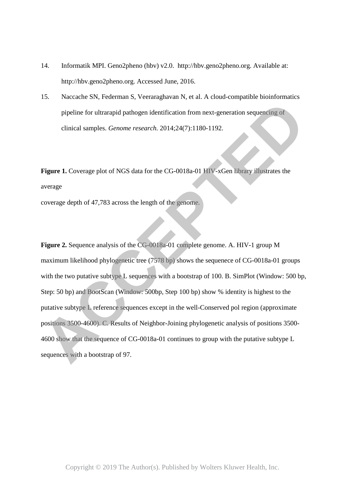- 14. Informatik MPI. Geno2pheno (hbv) v2.0. http://hbv.geno2pheno.org. Available at: http://hbv.geno2pheno.org. Accessed June, 2016.
- 15. Naccache SN, Federman S, Veeraraghavan N, et al. A cloud-compatible bioinformatics pipeline for ultrarapid pathogen identification from next-generation sequencing of clinical samples. *Genome research.* 2014;24(7):1180-1192.

Figure 1. Coverage plot of NGS data for the CG-0018a-01 HIV-xGen library illustrates the average

coverage depth of 47,783 across the length of the genome.

**Figure 2.** Sequence analysis of the CG-0018a-01 complete genome. A. HIV-1 group M maximum likelihood phylogenetic tree (7578 bp) shows the sequenece of CG-0018a-01 groups with the two putative subtype L sequences with a bootstrap of 100. B. SimPlot (Window: 500 bp, Step: 50 bp) and BootScan (Window: 500bp, Step 100 bp) show % identity is highest to the putative subtype L reference sequences except in the well-Conserved pol region (approximate positions 3500-4600). C. Results of Neighbor-Joining phylogenetic analysis of positions 3500- 4600 show that the sequence of CG-0018a-01 continues to group with the putative subtype L pipeline for uttrarapid pathogen identification from next-generation sequencing of<br>clinical samples. *Genome research*. 2014;24(7):1180-1192.<br>**Figure 1.** Coverage plot of NGS data for the CG-0018a-01 HTV-xGen library illus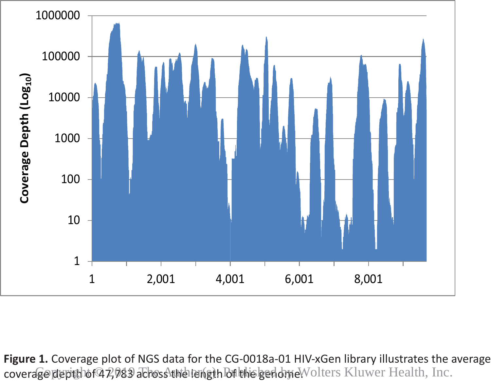

Figure 1. Coverage plot of NGS data for the CG-0018a-01 HIV-xGen library illustrates the average coverage depth of 47,083 achoss the length Butholged one. Wolters Kluwer Health, Inc.